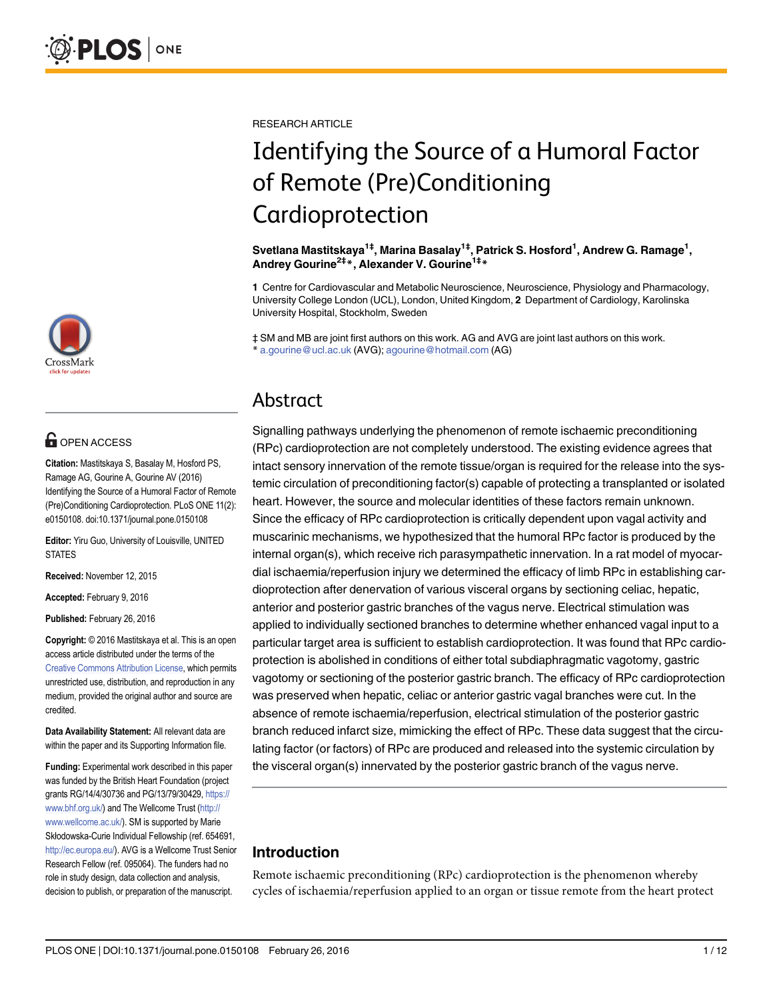

## **OPEN ACCESS**

Citation: Mastitskaya S, Basalay M, Hosford PS, Ramage AG, Gourine A, Gourine AV (2016) Identifying the Source of a Humoral Factor of Remote (Pre)Conditioning Cardioprotection. PLoS ONE 11(2): e0150108. doi:10.1371/journal.pone.0150108

Editor: Yiru Guo, University of Louisville, UNITED **STATES** 

Received: November 12, 2015

Accepted: February 9, 2016

Published: February 26, 2016

Copyright: © 2016 Mastitskaya et al. This is an open access article distributed under the terms of the [Creative Commons Attribution License,](http://creativecommons.org/licenses/by/4.0/) which permits unrestricted use, distribution, and reproduction in any medium, provided the original author and source are credited.

Data Availability Statement: All relevant data are within the paper and its Supporting Information file.

Funding: Experimental work described in this paper was funded by the British Heart Foundation (project grants RG/14/4/30736 and PG/13/79/30429, [https://](https://www.bhf.org.uk/) [www.bhf.org.uk/](https://www.bhf.org.uk/)) and The Wellcome Trust ([http://](http://www.wellcome.ac.uk/) [www.wellcome.ac.uk/\)](http://www.wellcome.ac.uk/). SM is supported by Marie Skłodowska-Curie Individual Fellowship (ref. 654691, [http://ec.europa.eu/\)](http://ec.europa.eu/). AVG is a Wellcome Trust Senior Research Fellow (ref. 095064). The funders had no role in study design, data collection and analysis, decision to publish, or preparation of the manuscript.

RESEARCH ARTICLE

# Identifying the Source of a Humoral Factor of Remote (Pre)Conditioning Cardioprotection

Svetlana Mastitskaya<sup>1‡</sup>, Marina Basalay<sup>1‡</sup>, Patrick S. Hosford<sup>1</sup>, Andrew G. Ramage<sup>1</sup>, Andrey Gourine<sup>2‡\*</sup>, Alexander V. Gourine<sup>1‡\*</sup>

1 Centre for Cardiovascular and Metabolic Neuroscience, Neuroscience, Physiology and Pharmacology, University College London (UCL), London, United Kingdom, 2 Department of Cardiology, Karolinska University Hospital, Stockholm, Sweden

‡ SM and MB are joint first authors on this work. AG and AVG are joint last authors on this work. \* a.gourine@ucl.ac.uk (AVG); agourine@hotmail.com (AG)

## Abstract

Signalling pathways underlying the phenomenon of remote ischaemic preconditioning (RPc) cardioprotection are not completely understood. The existing evidence agrees that intact sensory innervation of the remote tissue/organ is required for the release into the systemic circulation of preconditioning factor(s) capable of protecting a transplanted or isolated heart. However, the source and molecular identities of these factors remain unknown. Since the efficacy of RPc cardioprotection is critically dependent upon vagal activity and muscarinic mechanisms, we hypothesized that the humoral RPc factor is produced by the internal organ(s), which receive rich parasympathetic innervation. In a rat model of myocardial ischaemia/reperfusion injury we determined the efficacy of limb RPc in establishing cardioprotection after denervation of various visceral organs by sectioning celiac, hepatic, anterior and posterior gastric branches of the vagus nerve. Electrical stimulation was applied to individually sectioned branches to determine whether enhanced vagal input to a particular target area is sufficient to establish cardioprotection. It was found that RPc cardioprotection is abolished in conditions of either total subdiaphragmatic vagotomy, gastric vagotomy or sectioning of the posterior gastric branch. The efficacy of RPc cardioprotection was preserved when hepatic, celiac or anterior gastric vagal branches were cut. In the absence of remote ischaemia/reperfusion, electrical stimulation of the posterior gastric branch reduced infarct size, mimicking the effect of RPc. These data suggest that the circulating factor (or factors) of RPc are produced and released into the systemic circulation by the visceral organ(s) innervated by the posterior gastric branch of the vagus nerve.

### Introduction

Remote ischaemic preconditioning (RPc) cardioprotection is the phenomenon whereby cycles of ischaemia/reperfusion applied to an organ or tissue remote from the heart protect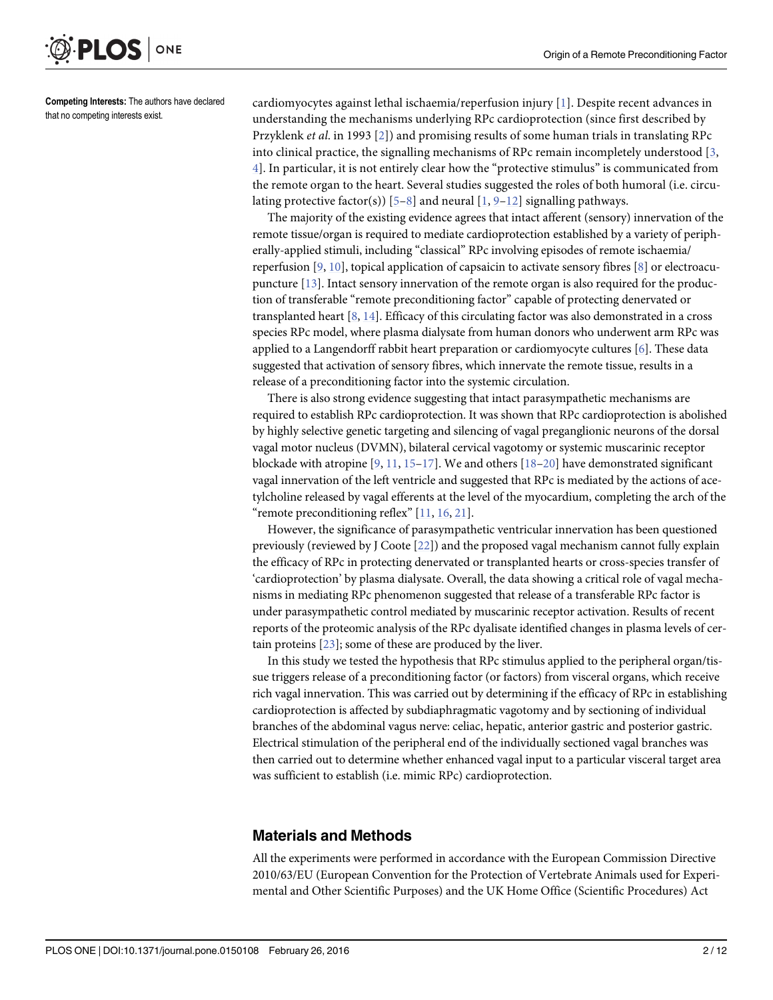<span id="page-1-0"></span>

Competing Interests: The authors have declared that no competing interests exist.

cardiomyocytes against lethal ischaemia/reperfusion injury [[1\]](#page-8-0). Despite recent advances in understanding the mechanisms underlying RPc cardioprotection (since first described by Przyklenk *et al.* in 1993 [[2\]](#page-8-0)) and promising results of some human trials in translating RPc into clinical practice, the signalling mechanisms of RPc remain incompletely understood [\[3](#page-8-0), [4\]](#page-8-0). In particular, it is not entirely clear how the "protective stimulus" is communicated from the remote organ to the heart. Several studies suggested the roles of both humoral (i.e. circulating protective factor(s))  $[5-8]$  $[5-8]$  $[5-8]$  $[5-8]$  and neural  $[1, 9-12]$  $[1, 9-12]$  $[1, 9-12]$  $[1, 9-12]$  $[1, 9-12]$  $[1, 9-12]$  signalling pathways.

The majority of the existing evidence agrees that intact afferent (sensory) innervation of the remote tissue/organ is required to mediate cardioprotection established by a variety of peripherally-applied stimuli, including "classical" RPc involving episodes of remote ischaemia/ reperfusion [\[9](#page-9-0), [10](#page-9-0)], topical application of capsaicin to activate sensory fibres [\[8](#page-9-0)] or electroacupuncture [[13](#page-9-0)]. Intact sensory innervation of the remote organ is also required for the production of transferable "remote preconditioning factor" capable of protecting denervated or transplanted heart [\[8](#page-9-0), [14](#page-9-0)]. Efficacy of this circulating factor was also demonstrated in a cross species RPc model, where plasma dialysate from human donors who underwent arm RPc was applied to a Langendorff rabbit heart preparation or cardiomyocyte cultures [\[6\]](#page-8-0). These data suggested that activation of sensory fibres, which innervate the remote tissue, results in a release of a preconditioning factor into the systemic circulation.

There is also strong evidence suggesting that intact parasympathetic mechanisms are required to establish RPc cardioprotection. It was shown that RPc cardioprotection is abolished by highly selective genetic targeting and silencing of vagal preganglionic neurons of the dorsal vagal motor nucleus (DVMN), bilateral cervical vagotomy or systemic muscarinic receptor blockade with atropine  $[9, 11, 15-17]$  $[9, 11, 15-17]$  $[9, 11, 15-17]$  $[9, 11, 15-17]$  $[9, 11, 15-17]$  $[9, 11, 15-17]$  $[9, 11, 15-17]$  $[9, 11, 15-17]$  $[9, 11, 15-17]$ . We and others  $[18-20]$  $[18-20]$  $[18-20]$  $[18-20]$  have demonstrated significant vagal innervation of the left ventricle and suggested that RPc is mediated by the actions of acetylcholine released by vagal efferents at the level of the myocardium, completing the arch of the "remote preconditioning reflex" [\[11,](#page-9-0) [16,](#page-9-0) [21\]](#page-9-0).

However, the significance of parasympathetic ventricular innervation has been questioned previously (reviewed by J Coote [\[22\]](#page-9-0)) and the proposed vagal mechanism cannot fully explain the efficacy of RPc in protecting denervated or transplanted hearts or cross-species transfer of 'cardioprotection' by plasma dialysate. Overall, the data showing a critical role of vagal mechanisms in mediating RPc phenomenon suggested that release of a transferable RPc factor is under parasympathetic control mediated by muscarinic receptor activation. Results of recent reports of the proteomic analysis of the RPc dyalisate identified changes in plasma levels of certain proteins [[23\]](#page-9-0); some of these are produced by the liver.

In this study we tested the hypothesis that RPc stimulus applied to the peripheral organ/tissue triggers release of a preconditioning factor (or factors) from visceral organs, which receive rich vagal innervation. This was carried out by determining if the efficacy of RPc in establishing cardioprotection is affected by subdiaphragmatic vagotomy and by sectioning of individual branches of the abdominal vagus nerve: celiac, hepatic, anterior gastric and posterior gastric. Electrical stimulation of the peripheral end of the individually sectioned vagal branches was then carried out to determine whether enhanced vagal input to a particular visceral target area was sufficient to establish (i.e. mimic RPc) cardioprotection.

#### Materials and Methods

All the experiments were performed in accordance with the European Commission Directive 2010/63/EU (European Convention for the Protection of Vertebrate Animals used for Experimental and Other Scientific Purposes) and the UK Home Office (Scientific Procedures) Act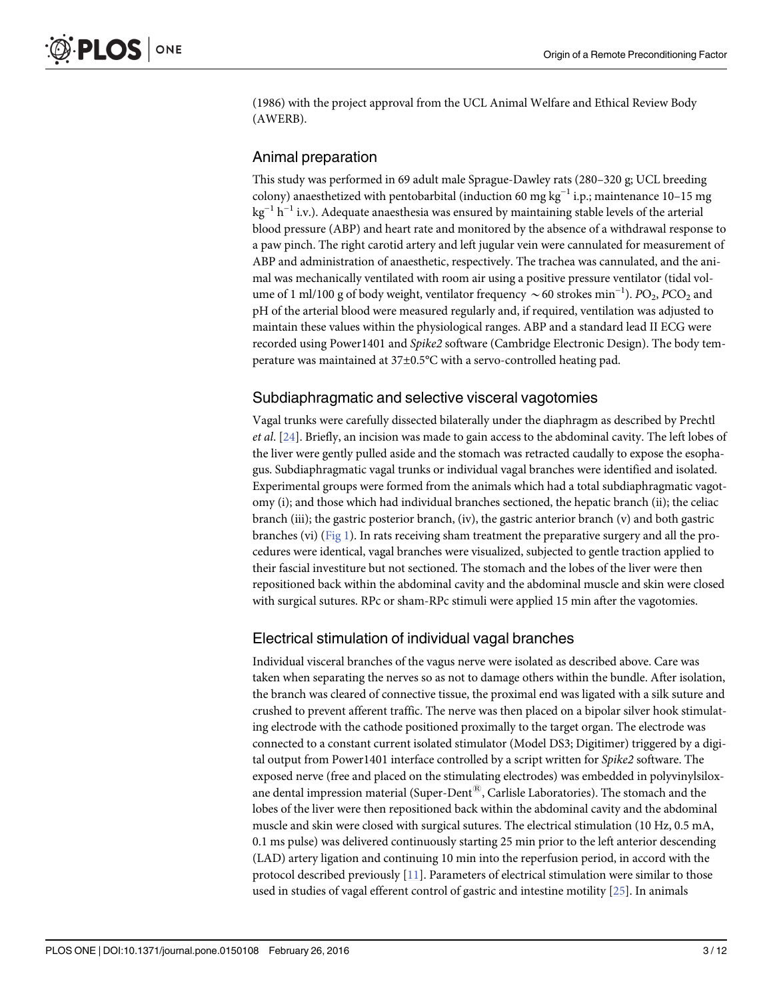<span id="page-2-0"></span>(1986) with the project approval from the UCL Animal Welfare and Ethical Review Body (AWERB).

#### Animal preparation

This study was performed in 69 adult male Sprague-Dawley rats (280–320 g; UCL breeding colony) anaesthetized with pentobarbital (induction 60 mg kg<sup>-1</sup> i.p.; maintenance 10–15 mg  $kg^{-1} h^{-1}$  i.v.). Adequate anaesthesia was ensured by maintaining stable levels of the arterial blood pressure (ABP) and heart rate and monitored by the absence of a withdrawal response to a paw pinch. The right carotid artery and left jugular vein were cannulated for measurement of ABP and administration of anaesthetic, respectively. The trachea was cannulated, and the animal was mechanically ventilated with room air using a positive pressure ventilator (tidal volume of 1 ml/100 g of body weight, ventilator frequency  $\sim$  60 strokes min<sup>-1</sup>). PO<sub>2</sub>, PCO<sub>2</sub> and pH of the arterial blood were measured regularly and, if required, ventilation was adjusted to maintain these values within the physiological ranges. ABP and a standard lead II ECG were recorded using Power1401 and Spike2 software (Cambridge Electronic Design). The body temperature was maintained at 37±0.5°C with a servo-controlled heating pad.

#### Subdiaphragmatic and selective visceral vagotomies

Vagal trunks were carefully dissected bilaterally under the diaphragm as described by Prechtl et al. [\[24\]](#page-9-0). Briefly, an incision was made to gain access to the abdominal cavity. The left lobes of the liver were gently pulled aside and the stomach was retracted caudally to expose the esophagus. Subdiaphragmatic vagal trunks or individual vagal branches were identified and isolated. Experimental groups were formed from the animals which had a total subdiaphragmatic vagotomy (i); and those which had individual branches sectioned, the hepatic branch (ii); the celiac branch (iii); the gastric posterior branch, (iv), the gastric anterior branch (v) and both gastric branches (vi) ( $Fig 1$ ). In rats receiving sham treatment the preparative surgery and all the procedures were identical, vagal branches were visualized, subjected to gentle traction applied to their fascial investiture but not sectioned. The stomach and the lobes of the liver were then repositioned back within the abdominal cavity and the abdominal muscle and skin were closed with surgical sutures. RPc or sham-RPc stimuli were applied 15 min after the vagotomies.

#### Electrical stimulation of individual vagal branches

Individual visceral branches of the vagus nerve were isolated as described above. Care was taken when separating the nerves so as not to damage others within the bundle. After isolation, the branch was cleared of connective tissue, the proximal end was ligated with a silk suture and crushed to prevent afferent traffic. The nerve was then placed on a bipolar silver hook stimulating electrode with the cathode positioned proximally to the target organ. The electrode was connected to a constant current isolated stimulator (Model DS3; Digitimer) triggered by a digital output from Power1401 interface controlled by a script written for Spike2 software. The exposed nerve (free and placed on the stimulating electrodes) was embedded in polyvinylsiloxane dental impression material (Super-Dent $^{(8)}$ , Carlisle Laboratories). The stomach and the lobes of the liver were then repositioned back within the abdominal cavity and the abdominal muscle and skin were closed with surgical sutures. The electrical stimulation (10 Hz, 0.5 mA, 0.1 ms pulse) was delivered continuously starting 25 min prior to the left anterior descending (LAD) artery ligation and continuing 10 min into the reperfusion period, in accord with the protocol described previously  $[11]$  $[11]$  $[11]$ . Parameters of electrical stimulation were similar to those used in studies of vagal efferent control of gastric and intestine motility [[25](#page-9-0)]. In animals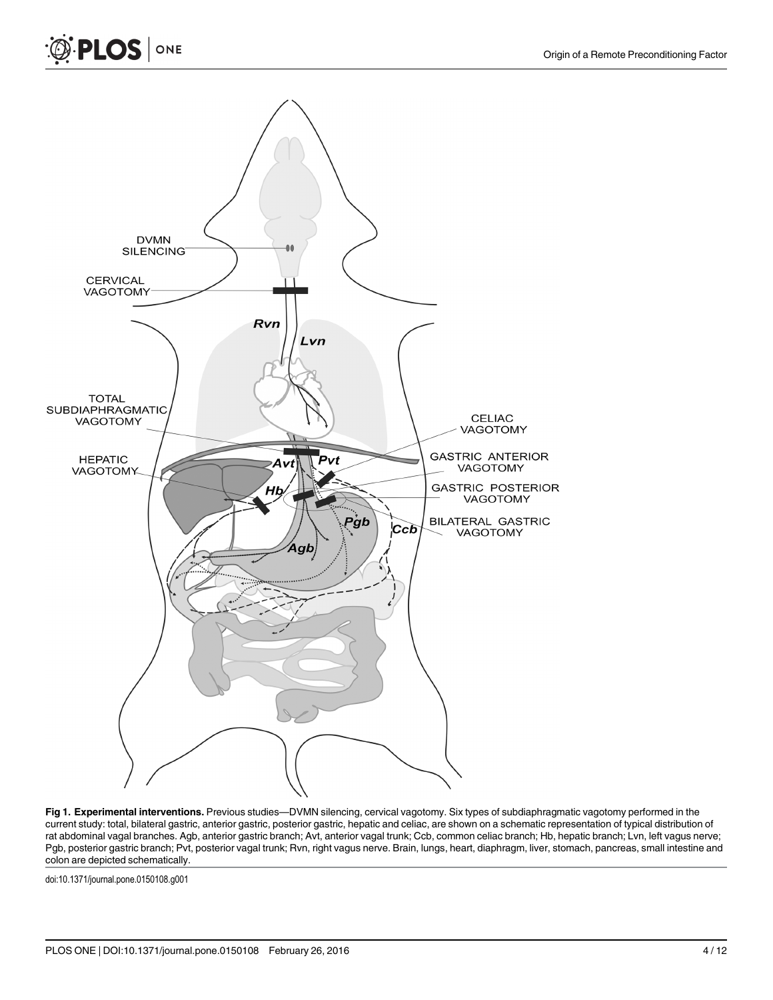<span id="page-3-0"></span>



[Fig 1. E](#page-2-0)xperimental interventions. Previous studies-DVMN silencing, cervical vagotomy. Six types of subdiaphragmatic vagotomy performed in the current study: total, bilateral gastric, anterior gastric, posterior gastric, hepatic and celiac, are shown on a schematic representation of typical distribution of rat abdominal vagal branches. Agb, anterior gastric branch; Avt, anterior vagal trunk; Ccb, common celiac branch; Hb, hepatic branch; Lvn, left vagus nerve; Pgb, posterior gastric branch; Pvt, posterior vagal trunk; Rvn, right vagus nerve. Brain, lungs, heart, diaphragm, liver, stomach, pancreas, small intestine and colon are depicted schematically.

doi:10.1371/journal.pone.0150108.g001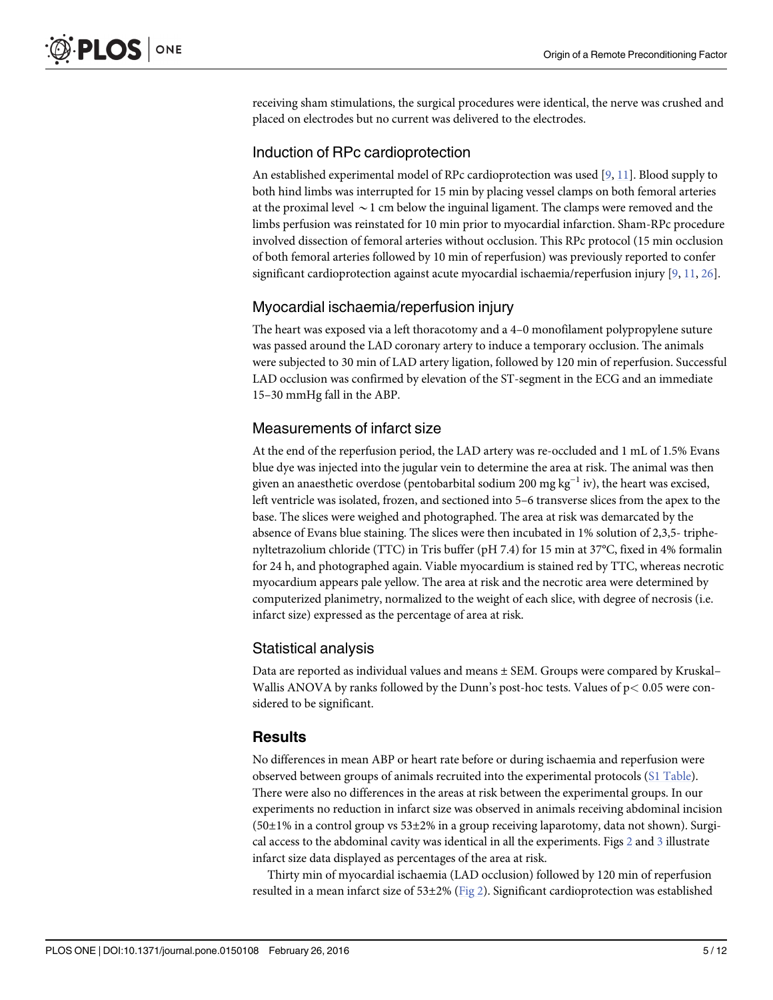<span id="page-4-0"></span>receiving sham stimulations, the surgical procedures were identical, the nerve was crushed and placed on electrodes but no current was delivered to the electrodes.

#### Induction of RPc cardioprotection

An established experimental model of RPc cardioprotection was used [[9](#page-9-0), [11](#page-9-0)]. Blood supply to both hind limbs was interrupted for 15 min by placing vessel clamps on both femoral arteries at the proximal level  $\sim$  1 cm below the inguinal ligament. The clamps were removed and the limbs perfusion was reinstated for 10 min prior to myocardial infarction. Sham-RPc procedure involved dissection of femoral arteries without occlusion. This RPc protocol (15 min occlusion of both femoral arteries followed by 10 min of reperfusion) was previously reported to confer significant cardioprotection against acute myocardial ischaemia/reperfusion injury  $[9, 11, 26]$  $[9, 11, 26]$  $[9, 11, 26]$  $[9, 11, 26]$  $[9, 11, 26]$  $[9, 11, 26]$ .

#### Myocardial ischaemia/reperfusion injury

The heart was exposed via a left thoracotomy and a 4–0 monofilament polypropylene suture was passed around the LAD coronary artery to induce a temporary occlusion. The animals were subjected to 30 min of LAD artery ligation, followed by 120 min of reperfusion. Successful LAD occlusion was confirmed by elevation of the ST-segment in the ECG and an immediate 15–30 mmHg fall in the ABP.

#### Measurements of infarct size

At the end of the reperfusion period, the LAD artery was re-occluded and 1 mL of 1.5% Evans blue dye was injected into the jugular vein to determine the area at risk. The animal was then given an anaesthetic overdose (pentobarbital sodium 200 mg kg<sup>-1</sup> iv), the heart was excised, left ventricle was isolated, frozen, and sectioned into 5–6 transverse slices from the apex to the base. The slices were weighed and photographed. The area at risk was demarcated by the absence of Evans blue staining. The slices were then incubated in 1% solution of 2,3,5- triphenyltetrazolium chloride (TTC) in Tris buffer (pH 7.4) for 15 min at 37°C, fixed in 4% formalin for 24 h, and photographed again. Viable myocardium is stained red by TTC, whereas necrotic myocardium appears pale yellow. The area at risk and the necrotic area were determined by computerized planimetry, normalized to the weight of each slice, with degree of necrosis (i.e. infarct size) expressed as the percentage of area at risk.

#### Statistical analysis

Data are reported as individual values and means ± SEM. Groups were compared by Kruskal– Wallis ANOVA by ranks followed by the Dunn's post-hoc tests. Values of p< 0.05 were considered to be significant.

#### **Results**

No differences in mean ABP or heart rate before or during ischaemia and reperfusion were observed between groups of animals recruited into the experimental protocols ([S1 Table\)](#page-8-0). There were also no differences in the areas at risk between the experimental groups. In our experiments no reduction in infarct size was observed in animals receiving abdominal incision  $(50\pm1\%$  in a control group vs  $53\pm2\%$  in a group receiving laparotomy, data not shown). Surgical access to the abdominal cavity was identical in all the experiments. Figs [2](#page-5-0) and [3](#page-5-0) illustrate infarct size data displayed as percentages of the area at risk.

Thirty min of myocardial ischaemia (LAD occlusion) followed by 120 min of reperfusion resulted in a mean infarct size of  $53\pm2\%$  [\(Fig 2\)](#page-5-0). Significant cardioprotection was established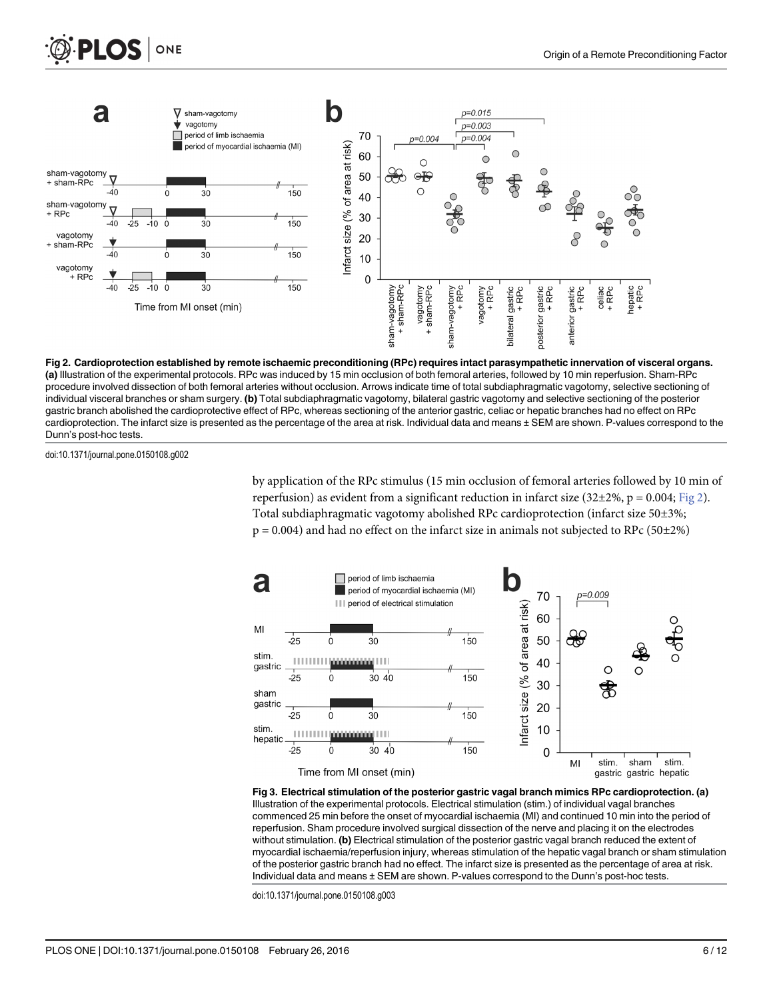<span id="page-5-0"></span>



[Fig 2. C](#page-4-0)ardioprotection established by remote ischaemic preconditioning (RPc) requires intact parasympathetic innervation of visceral organs. (a) Illustration of the experimental protocols. RPc was induced by 15 min occlusion of both femoral arteries, followed by 10 min reperfusion. Sham-RPc procedure involved dissection of both femoral arteries without occlusion. Arrows indicate time of total subdiaphragmatic vagotomy, selective sectioning of individual visceral branches or sham surgery. (b) Total subdiaphragmatic vagotomy, bilateral gastric vagotomy and selective sectioning of the posterior gastric branch abolished the cardioprotective effect of RPc, whereas sectioning of the anterior gastric, celiac or hepatic branches had no effect on RPc cardioprotection. The infarct size is presented as the percentage of the area at risk. Individual data and means ± SEM are shown. P-values correspond to the Dunn's post-hoc tests.

doi:10.1371/journal.pone.0150108.g002

by application of the RPc stimulus (15 min occlusion of femoral arteries followed by 10 min of reperfusion) as evident from a significant reduction in infarct size (32±2%, p = 0.004; Fig 2). Total subdiaphragmatic vagotomy abolished RPc cardioprotection (infarct size 50±3%;  $p = 0.004$ ) and had no effect on the infarct size in animals not subjected to RPc (50 $\pm$ 2%)



[Fig 3. E](#page-4-0)lectrical stimulation of the posterior gastric vagal branch mimics RPc cardioprotection. (a) Illustration of the experimental protocols. Electrical stimulation (stim.) of individual vagal branches commenced 25 min before the onset of myocardial ischaemia (MI) and continued 10 min into the period of reperfusion. Sham procedure involved surgical dissection of the nerve and placing it on the electrodes without stimulation. (b) Electrical stimulation of the posterior gastric vagal branch reduced the extent of myocardial ischaemia/reperfusion injury, whereas stimulation of the hepatic vagal branch or sham stimulation of the posterior gastric branch had no effect. The infarct size is presented as the percentage of area at risk. Individual data and means ± SEM are shown. P-values correspond to the Dunn's post-hoc tests.

doi:10.1371/journal.pone.0150108.g003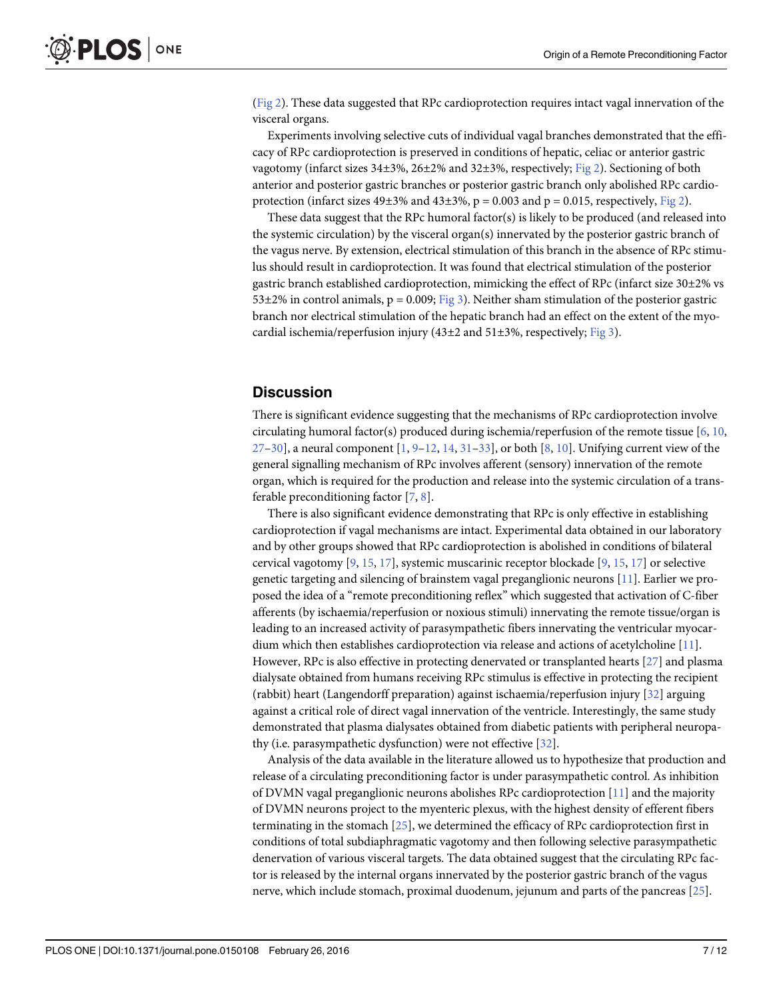<span id="page-6-0"></span>[\(Fig 2\)](#page-5-0). These data suggested that RPc cardioprotection requires intact vagal innervation of the visceral organs.

Experiments involving selective cuts of individual vagal branches demonstrated that the efficacy of RPc cardioprotection is preserved in conditions of hepatic, celiac or anterior gastric vagotomy (infarct sizes 34±3%, 26±2% and 32±3%, respectively; [Fig 2](#page-5-0)). Sectioning of both anterior and posterior gastric branches or posterior gastric branch only abolished RPc cardioprotection (infarct sizes  $49\pm3\%$  and  $43\pm3\%$ , p = 0.003 and p = 0.015, respectively, [Fig 2](#page-5-0)).

These data suggest that the RPc humoral factor(s) is likely to be produced (and released into the systemic circulation) by the visceral organ(s) innervated by the posterior gastric branch of the vagus nerve. By extension, electrical stimulation of this branch in the absence of RPc stimulus should result in cardioprotection. It was found that electrical stimulation of the posterior gastric branch established cardioprotection, mimicking the effect of RPc (infarct size 30±2% vs  $53\pm2\%$  in control animals, p = 0.009; [Fig 3](#page-5-0)). Neither sham stimulation of the posterior gastric branch nor electrical stimulation of the hepatic branch had an effect on the extent of the myocardial ischemia/reperfusion injury (43 $\pm$ 2 and 51 $\pm$ 3%, respectively; [Fig 3\)](#page-5-0).

#### **Discussion**

There is significant evidence suggesting that the mechanisms of RPc cardioprotection involve circulating humoral factor(s) produced during ischemia/reperfusion of the remote tissue [\[6,](#page-8-0) [10,](#page-9-0)  $27-30$  $27-30$  $27-30$ ], a neural component  $[1, 9-12, 14, 31-33]$  $[1, 9-12, 14, 31-33]$  $[1, 9-12, 14, 31-33]$  $[1, 9-12, 14, 31-33]$  $[1, 9-12, 14, 31-33]$  $[1, 9-12, 14, 31-33]$  $[1, 9-12, 14, 31-33]$  $[1, 9-12, 14, 31-33]$  $[1, 9-12, 14, 31-33]$  $[1, 9-12, 14, 31-33]$  $[1, 9-12, 14, 31-33]$ , or both  $[8, 10]$  $[8, 10]$  $[8, 10]$  $[8, 10]$ . Unifying current view of the general signalling mechanism of RPc involves afferent (sensory) innervation of the remote organ, which is required for the production and release into the systemic circulation of a transferable preconditioning factor  $[7, 8]$  $[7, 8]$  $[7, 8]$  $[7, 8]$ .

There is also significant evidence demonstrating that RPc is only effective in establishing cardioprotection if vagal mechanisms are intact. Experimental data obtained in our laboratory and by other groups showed that RPc cardioprotection is abolished in conditions of bilateral cervical vagotomy  $[9, 15, 17]$  $[9, 15, 17]$  $[9, 15, 17]$  $[9, 15, 17]$  $[9, 15, 17]$  $[9, 15, 17]$ , systemic muscarinic receptor blockade  $[9, 15, 17]$  $[9, 15, 17]$  $[9, 15, 17]$  or selective genetic targeting and silencing of brainstem vagal preganglionic neurons [\[11\]](#page-9-0). Earlier we proposed the idea of a "remote preconditioning reflex" which suggested that activation of C-fiber afferents (by ischaemia/reperfusion or noxious stimuli) innervating the remote tissue/organ is leading to an increased activity of parasympathetic fibers innervating the ventricular myocardium which then establishes cardioprotection via release and actions of acetylcholine  $[11]$  $[11]$  $[11]$ . However, RPc is also effective in protecting denervated or transplanted hearts [\[27\]](#page-10-0) and plasma dialysate obtained from humans receiving RPc stimulus is effective in protecting the recipient (rabbit) heart (Langendorff preparation) against ischaemia/reperfusion injury [[32](#page-10-0)] arguing against a critical role of direct vagal innervation of the ventricle. Interestingly, the same study demonstrated that plasma dialysates obtained from diabetic patients with peripheral neuropathy (i.e. parasympathetic dysfunction) were not effective [[32](#page-10-0)].

Analysis of the data available in the literature allowed us to hypothesize that production and release of a circulating preconditioning factor is under parasympathetic control. As inhibition of DVMN vagal preganglionic neurons abolishes RPc cardioprotection [\[11\]](#page-9-0) and the majority of DVMN neurons project to the myenteric plexus, with the highest density of efferent fibers terminating in the stomach [\[25](#page-9-0)], we determined the efficacy of RPc cardioprotection first in conditions of total subdiaphragmatic vagotomy and then following selective parasympathetic denervation of various visceral targets. The data obtained suggest that the circulating RPc factor is released by the internal organs innervated by the posterior gastric branch of the vagus nerve, which include stomach, proximal duodenum, jejunum and parts of the pancreas [[25](#page-9-0)].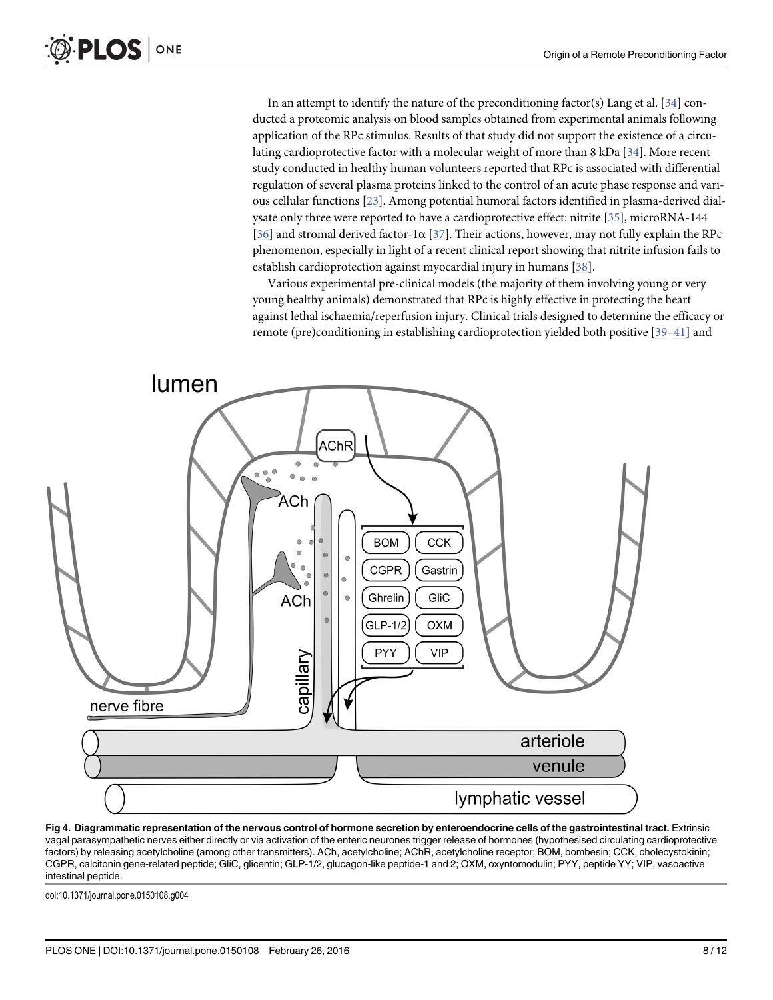<span id="page-7-0"></span>In an attempt to identify the nature of the preconditioning factor(s) Lang et al.  $[34]$  $[34]$  conducted a proteomic analysis on blood samples obtained from experimental animals following application of the RPc stimulus. Results of that study did not support the existence of a circulating cardioprotective factor with a molecular weight of more than 8 kDa [[34](#page-10-0)]. More recent study conducted in healthy human volunteers reported that RPc is associated with differential regulation of several plasma proteins linked to the control of an acute phase response and various cellular functions [\[23](#page-9-0)]. Among potential humoral factors identified in plasma-derived dialysate only three were reported to have a cardioprotective effect: nitrite [[35](#page-10-0)], microRNA-144 [\[36](#page-10-0)] and stromal derived factor-1 $\alpha$  [\[37\]](#page-10-0). Their actions, however, may not fully explain the RPc phenomenon, especially in light of a recent clinical report showing that nitrite infusion fails to establish cardioprotection against myocardial injury in humans [\[38\]](#page-10-0).

Various experimental pre-clinical models (the majority of them involving young or very young healthy animals) demonstrated that RPc is highly effective in protecting the heart against lethal ischaemia/reperfusion injury. Clinical trials designed to determine the efficacy or remote (pre)conditioning in establishing cardioprotection yielded both positive [\[39](#page-10-0)–[41](#page-10-0)] and



[Fig 4. D](#page-8-0)iagrammatic representation of the nervous control of hormone secretion by enteroendocrine cells of the gastrointestinal tract. Extrinsic vagal parasympathetic nerves either directly or via activation of the enteric neurones trigger release of hormones (hypothesised circulating cardioprotective factors) by releasing acetylcholine (among other transmitters). ACh, acetylcholine; AChR, acetylcholine receptor; BOM, bombesin; CCK, cholecystokinin; CGPR, calcitonin gene-related peptide; GliC, glicentin; GLP-1/2, glucagon-like peptide-1 and 2; OXM, oxyntomodulin; PYY, peptide YY; VIP, vasoactive intestinal peptide.

doi:10.1371/journal.pone.0150108.g004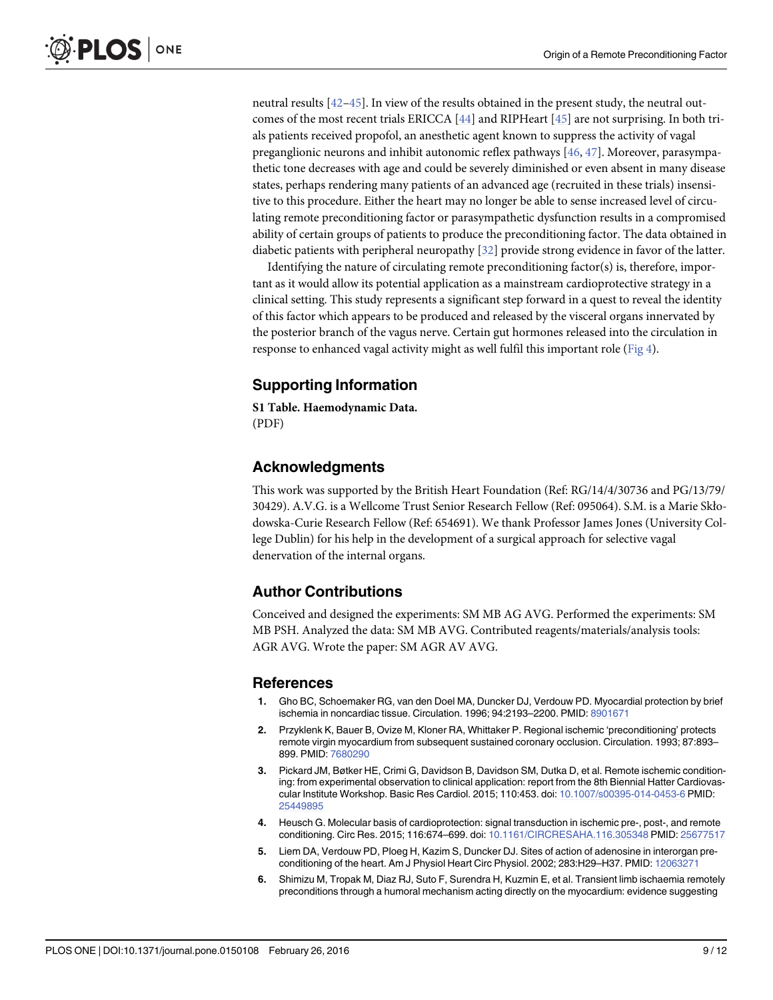<span id="page-8-0"></span>neutral results [\[42](#page-10-0)–[45](#page-11-0)]. In view of the results obtained in the present study, the neutral outcomes of the most recent trials ERICCA [[44](#page-10-0)] and RIPHeart [[45](#page-11-0)] are not surprising. In both trials patients received propofol, an anesthetic agent known to suppress the activity of vagal preganglionic neurons and inhibit autonomic reflex pathways [[46](#page-11-0), [47](#page-11-0)]. Moreover, parasympathetic tone decreases with age and could be severely diminished or even absent in many disease states, perhaps rendering many patients of an advanced age (recruited in these trials) insensitive to this procedure. Either the heart may no longer be able to sense increased level of circulating remote preconditioning factor or parasympathetic dysfunction results in a compromised ability of certain groups of patients to produce the preconditioning factor. The data obtained in diabetic patients with peripheral neuropathy [[32](#page-10-0)] provide strong evidence in favor of the latter.

Identifying the nature of circulating remote preconditioning factor(s) is, therefore, important as it would allow its potential application as a mainstream cardioprotective strategy in a clinical setting. This study represents a significant step forward in a quest to reveal the identity of this factor which appears to be produced and released by the visceral organs innervated by the posterior branch of the vagus nerve. Certain gut hormones released into the circulation in response to enhanced vagal activity might as well fulfil this important role [\(Fig 4\)](#page-7-0).

#### Supporting Information

[S1 Table](http://www.plosone.org/article/fetchSingleRepresentation.action?uri=info:doi/10.1371/journal.pone.0150108.s001). Haemodynamic Data. (PDF)

#### Acknowledgments

This work was supported by the British Heart Foundation (Ref: RG/14/4/30736 and PG/13/79/ 30429). A.V.G. is a Wellcome Trust Senior Research Fellow (Ref: 095064). S.M. is a Marie Skłodowska-Curie Research Fellow (Ref: 654691). We thank Professor James Jones (University College Dublin) for his help in the development of a surgical approach for selective vagal denervation of the internal organs.

#### Author Contributions

Conceived and designed the experiments: SM MB AG AVG. Performed the experiments: SM MB PSH. Analyzed the data: SM MB AVG. Contributed reagents/materials/analysis tools: AGR AVG. Wrote the paper: SM AGR AV AVG.

#### References

- [1.](#page-1-0) Gho BC, Schoemaker RG, van den Doel MA, Duncker DJ, Verdouw PD. Myocardial protection by brief ischemia in noncardiac tissue. Circulation. 1996; 94:2193–2200. PMID: [8901671](http://www.ncbi.nlm.nih.gov/pubmed/8901671)
- [2.](#page-1-0) Przyklenk K, Bauer B, Ovize M, Kloner RA, Whittaker P. Regional ischemic 'preconditioning' protects remote virgin myocardium from subsequent sustained coronary occlusion. Circulation. 1993; 87:893– 899. PMID: [7680290](http://www.ncbi.nlm.nih.gov/pubmed/7680290)
- [3.](#page-1-0) Pickard JM, Bøtker HE, Crimi G, Davidson B, Davidson SM, Dutka D, et al. Remote ischemic conditioning: from experimental observation to clinical application: report from the 8th Biennial Hatter Cardiovascular Institute Workshop. Basic Res Cardiol. 2015; 110:453. doi: [10.1007/s00395-014-0453-6](http://dx.doi.org/10.1007/s00395-014-0453-6) PMID: [25449895](http://www.ncbi.nlm.nih.gov/pubmed/25449895)
- [4.](#page-1-0) Heusch G. Molecular basis of cardioprotection: signal transduction in ischemic pre-, post-, and remote conditioning. Circ Res. 2015; 116:674–699. doi: [10.1161/CIRCRESAHA.116.305348](http://dx.doi.org/10.1161/CIRCRESAHA.116.305348) PMID: [25677517](http://www.ncbi.nlm.nih.gov/pubmed/25677517)
- [5.](#page-1-0) Liem DA, Verdouw PD, Ploeg H, Kazim S, Duncker DJ. Sites of action of adenosine in interorgan preconditioning of the heart. Am J Physiol Heart Circ Physiol. 2002; 283:H29–H37. PMID: [12063271](http://www.ncbi.nlm.nih.gov/pubmed/12063271)
- [6.](#page-1-0) Shimizu M, Tropak M, Diaz RJ, Suto F, Surendra H, Kuzmin E, et al. Transient limb ischaemia remotely preconditions through a humoral mechanism acting directly on the myocardium: evidence suggesting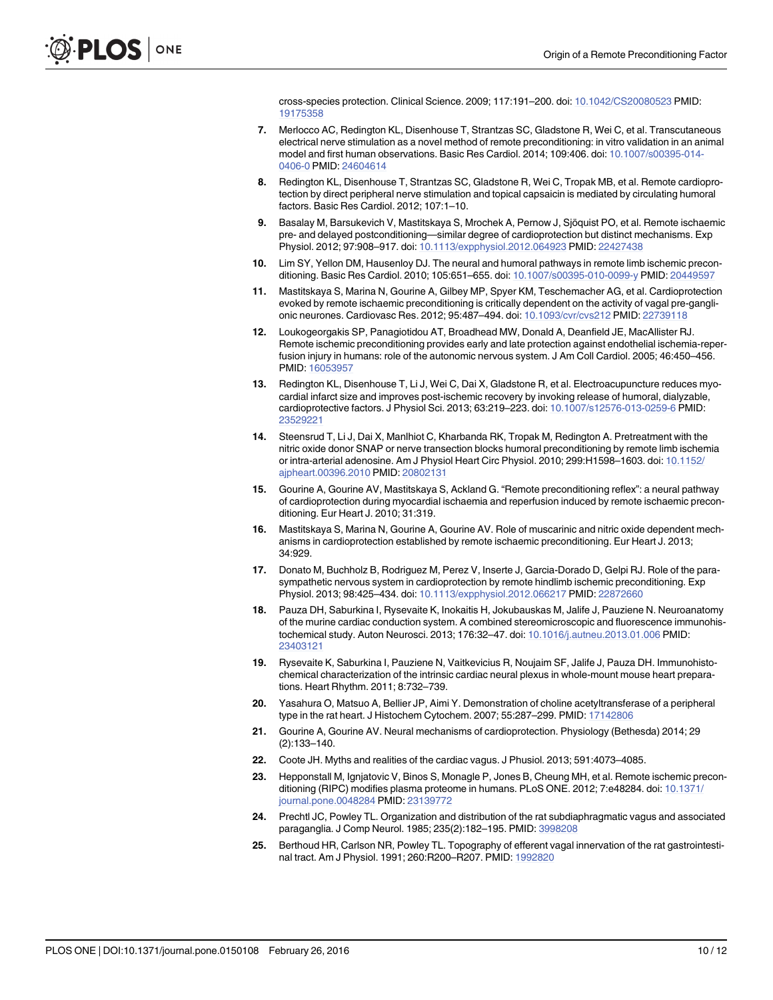cross-species protection. Clinical Science. 2009; 117:191–200. doi: [10.1042/CS20080523](http://dx.doi.org/10.1042/CS20080523) PMID: [19175358](http://www.ncbi.nlm.nih.gov/pubmed/19175358)

- <span id="page-9-0"></span>[7.](#page-6-0) Merlocco AC, Redington KL, Disenhouse T, Strantzas SC, Gladstone R, Wei C, et al. Transcutaneous electrical nerve stimulation as a novel method of remote preconditioning: in vitro validation in an animal model and first human observations. Basic Res Cardiol. 2014; 109:406. doi: [10.1007/s00395-014-](http://dx.doi.org/10.1007/s00395-014-0406-0) [0406-0](http://dx.doi.org/10.1007/s00395-014-0406-0) PMID: [24604614](http://www.ncbi.nlm.nih.gov/pubmed/24604614)
- [8.](#page-1-0) Redington KL, Disenhouse T, Strantzas SC, Gladstone R, Wei C, Tropak MB, et al. Remote cardioprotection by direct peripheral nerve stimulation and topical capsaicin is mediated by circulating humoral factors. Basic Res Cardiol. 2012; 107:1–10.
- [9.](#page-1-0) Basalay M, Barsukevich V, Mastitskaya S, Mrochek A, Pernow J, Sjöquist PO, et al. Remote ischaemic pre- and delayed postconditioning—similar degree of cardioprotection but distinct mechanisms. Exp Physiol. 2012; 97:908–917. doi: [10.1113/expphysiol.2012.064923](http://dx.doi.org/10.1113/expphysiol.2012.064923) PMID: [22427438](http://www.ncbi.nlm.nih.gov/pubmed/22427438)
- [10.](#page-1-0) Lim SY, Yellon DM, Hausenloy DJ. The neural and humoral pathways in remote limb ischemic preconditioning. Basic Res Cardiol. 2010; 105:651–655. doi: [10.1007/s00395-010-0099-y](http://dx.doi.org/10.1007/s00395-010-0099-y) PMID: [20449597](http://www.ncbi.nlm.nih.gov/pubmed/20449597)
- [11.](#page-1-0) Mastitskaya S, Marina N, Gourine A, Gilbey MP, Spyer KM, Teschemacher AG, et al. Cardioprotection evoked by remote ischaemic preconditioning is critically dependent on the activity of vagal pre-ganglionic neurones. Cardiovasc Res. 2012; 95:487–494. doi: [10.1093/cvr/cvs212](http://dx.doi.org/10.1093/cvr/cvs212) PMID: [22739118](http://www.ncbi.nlm.nih.gov/pubmed/22739118)
- [12.](#page-1-0) Loukogeorgakis SP, Panagiotidou AT, Broadhead MW, Donald A, Deanfield JE, MacAllister RJ. Remote ischemic preconditioning provides early and late protection against endothelial ischemia-reperfusion injury in humans: role of the autonomic nervous system. J Am Coll Cardiol. 2005; 46:450–456. PMID: [16053957](http://www.ncbi.nlm.nih.gov/pubmed/16053957)
- [13.](#page-1-0) Redington KL, Disenhouse T, Li J, Wei C, Dai X, Gladstone R, et al. Electroacupuncture reduces myocardial infarct size and improves post-ischemic recovery by invoking release of humoral, dialyzable, cardioprotective factors. J Physiol Sci. 2013; 63:219–223. doi: [10.1007/s12576-013-0259-6](http://dx.doi.org/10.1007/s12576-013-0259-6) PMID: [23529221](http://www.ncbi.nlm.nih.gov/pubmed/23529221)
- [14.](#page-1-0) Steensrud T, Li J, Dai X, Manlhiot C, Kharbanda RK, Tropak M, Redington A. Pretreatment with the nitric oxide donor SNAP or nerve transection blocks humoral preconditioning by remote limb ischemia or intra-arterial adenosine. Am J Physiol Heart Circ Physiol. 2010; 299:H1598–1603. doi: [10.1152/](http://dx.doi.org/10.1152/ajpheart.00396.2010) [ajpheart.00396.2010](http://dx.doi.org/10.1152/ajpheart.00396.2010) PMID: [20802131](http://www.ncbi.nlm.nih.gov/pubmed/20802131)
- [15.](#page-1-0) Gourine A, Gourine AV, Mastitskaya S, Ackland G. "Remote preconditioning reflex": a neural pathway of cardioprotection during myocardial ischaemia and reperfusion induced by remote ischaemic preconditioning. Eur Heart J. 2010; 31:319.
- [16.](#page-1-0) Mastitskaya S, Marina N, Gourine A, Gourine AV. Role of muscarinic and nitric oxide dependent mechanisms in cardioprotection established by remote ischaemic preconditioning. Eur Heart J. 2013; 34:929.
- [17.](#page-1-0) Donato M, Buchholz B, Rodriguez M, Perez V, Inserte J, Garcia-Dorado D, Gelpi RJ. Role of the parasympathetic nervous system in cardioprotection by remote hindlimb ischemic preconditioning. Exp Physiol. 2013; 98:425–434. doi: [10.1113/expphysiol.2012.066217](http://dx.doi.org/10.1113/expphysiol.2012.066217) PMID: [22872660](http://www.ncbi.nlm.nih.gov/pubmed/22872660)
- [18.](#page-1-0) Pauza DH, Saburkina I, Rysevaite K, Inokaitis H, Jokubauskas M, Jalife J, Pauziene N. Neuroanatomy of the murine cardiac conduction system. A combined stereomicroscopic and fluorescence immunohistochemical study. Auton Neurosci. 2013; 176:32–47. doi: [10.1016/j.autneu.2013.01.006](http://dx.doi.org/10.1016/j.autneu.2013.01.006) PMID: [23403121](http://www.ncbi.nlm.nih.gov/pubmed/23403121)
- 19. Rysevaite K, Saburkina I, Pauziene N, Vaitkevicius R, Noujaim SF, Jalife J, Pauza DH. Immunohistochemical characterization of the intrinsic cardiac neural plexus in whole-mount mouse heart preparations. Heart Rhythm. 2011; 8:732–739.
- [20.](#page-1-0) Yasahura O, Matsuo A, Bellier JP, Aimi Y. Demonstration of choline acetyltransferase of a peripheral type in the rat heart. J Histochem Cytochem. 2007; 55:287–299. PMID: [17142806](http://www.ncbi.nlm.nih.gov/pubmed/17142806)
- [21.](#page-1-0) Gourine A, Gourine AV. Neural mechanisms of cardioprotection. Physiology (Bethesda) 2014; 29 (2):133–140.
- [22.](#page-1-0) Coote JH. Myths and realities of the cardiac vagus. J Phusiol. 2013; 591:4073–4085.
- [23.](#page-1-0) Hepponstall M, Ignjatovic V, Binos S, Monagle P, Jones B, Cheung MH, et al. Remote ischemic preconditioning (RIPC) modifies plasma proteome in humans. PLoS ONE. 2012; 7:e48284. doi: [10.1371/](http://dx.doi.org/10.1371/journal.pone.0048284) [journal.pone.0048284](http://dx.doi.org/10.1371/journal.pone.0048284) PMID: [23139772](http://www.ncbi.nlm.nih.gov/pubmed/23139772)
- [24.](#page-2-0) Prechtl JC, Powley TL. Organization and distribution of the rat subdiaphragmatic vagus and associated paraganglia. J Comp Neurol. 1985; 235(2):182–195. PMID: [3998208](http://www.ncbi.nlm.nih.gov/pubmed/3998208)
- [25.](#page-2-0) Berthoud HR, Carlson NR, Powley TL. Topography of efferent vagal innervation of the rat gastrointestinal tract. Am J Physiol. 1991; 260:R200–R207. PMID: [1992820](http://www.ncbi.nlm.nih.gov/pubmed/1992820)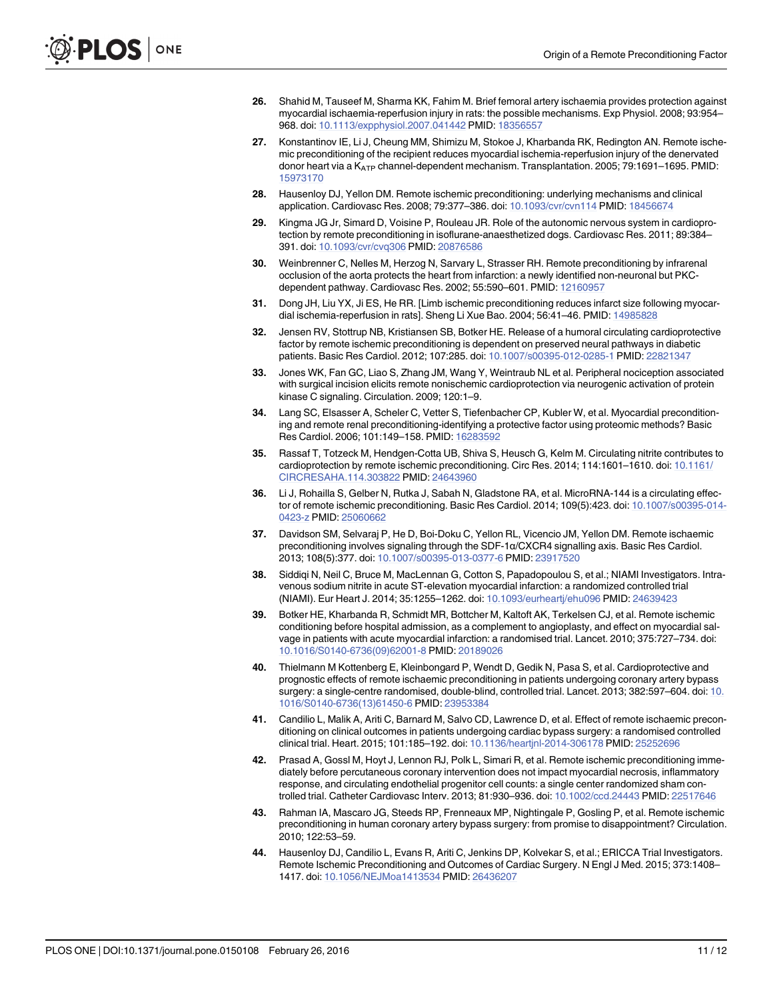- <span id="page-10-0"></span>[26.](#page-4-0) Shahid M, Tauseef M, Sharma KK, Fahim M. Brief femoral artery ischaemia provides protection against myocardial ischaemia-reperfusion injury in rats: the possible mechanisms. Exp Physiol. 2008; 93:954– 968. doi: [10.1113/expphysiol.2007.041442](http://dx.doi.org/10.1113/expphysiol.2007.041442) PMID: [18356557](http://www.ncbi.nlm.nih.gov/pubmed/18356557)
- [27.](#page-6-0) Konstantinov IE, Li J, Cheung MM, Shimizu M, Stokoe J, Kharbanda RK, Redington AN. Remote ischemic preconditioning of the recipient reduces myocardial ischemia-reperfusion injury of the denervated donor heart via a K<sub>ATP</sub> channel-dependent mechanism. Transplantation. 2005; 79:1691–1695. PMID: [15973170](http://www.ncbi.nlm.nih.gov/pubmed/15973170)
- 28. Hausenloy DJ, Yellon DM. Remote ischemic preconditioning: underlying mechanisms and clinical application. Cardiovasc Res. 2008; 79:377–386. doi: [10.1093/cvr/cvn114](http://dx.doi.org/10.1093/cvr/cvn114) PMID: [18456674](http://www.ncbi.nlm.nih.gov/pubmed/18456674)
- 29. Kingma JG Jr, Simard D, Voisine P, Rouleau JR. Role of the autonomic nervous system in cardioprotection by remote preconditioning in isoflurane-anaesthetized dogs. Cardiovasc Res. 2011; 89:384– 391. doi: [10.1093/cvr/cvq306](http://dx.doi.org/10.1093/cvr/cvq306) PMID: [20876586](http://www.ncbi.nlm.nih.gov/pubmed/20876586)
- [30.](#page-6-0) Weinbrenner C, Nelles M, Herzog N, Sarvary L, Strasser RH. Remote preconditioning by infrarenal occlusion of the aorta protects the heart from infarction: a newly identified non-neuronal but PKCdependent pathway. Cardiovasc Res. 2002; 55:590–601. PMID: [12160957](http://www.ncbi.nlm.nih.gov/pubmed/12160957)
- [31.](#page-6-0) Dong JH, Liu YX, Ji ES, He RR. [Limb ischemic preconditioning reduces infarct size following myocardial ischemia-reperfusion in rats]. Sheng Li Xue Bao. 2004; 56:41–46. PMID: [14985828](http://www.ncbi.nlm.nih.gov/pubmed/14985828)
- [32.](#page-6-0) Jensen RV, Stottrup NB, Kristiansen SB, Botker HE. Release of a humoral circulating cardioprotective factor by remote ischemic preconditioning is dependent on preserved neural pathways in diabetic patients. Basic Res Cardiol. 2012; 107:285. doi: [10.1007/s00395-012-0285-1](http://dx.doi.org/10.1007/s00395-012-0285-1) PMID: [22821347](http://www.ncbi.nlm.nih.gov/pubmed/22821347)
- [33.](#page-6-0) Jones WK, Fan GC, Liao S, Zhang JM, Wang Y, Weintraub NL et al. Peripheral nociception associated with surgical incision elicits remote nonischemic cardioprotection via neurogenic activation of protein kinase C signaling. Circulation. 2009; 120:1–9.
- [34.](#page-7-0) Lang SC, Elsasser A, Scheler C, Vetter S, Tiefenbacher CP, Kubler W, et al. Myocardial preconditioning and remote renal preconditioning-identifying a protective factor using proteomic methods? Basic Res Cardiol. 2006; 101:149–158. PMID: [16283592](http://www.ncbi.nlm.nih.gov/pubmed/16283592)
- [35.](#page-7-0) Rassaf T, Totzeck M, Hendgen-Cotta UB, Shiva S, Heusch G, Kelm M. Circulating nitrite contributes to cardioprotection by remote ischemic preconditioning. Circ Res. 2014; 114:1601–1610. doi: [10.1161/](http://dx.doi.org/10.1161/CIRCRESAHA.114.303822) [CIRCRESAHA.114.303822](http://dx.doi.org/10.1161/CIRCRESAHA.114.303822) PMID: [24643960](http://www.ncbi.nlm.nih.gov/pubmed/24643960)
- [36.](#page-7-0) Li J, Rohailla S, Gelber N, Rutka J, Sabah N, Gladstone RA, et al. MicroRNA-144 is a circulating effector of remote ischemic preconditioning. Basic Res Cardiol. 2014; 109(5):423. doi: [10.1007/s00395-014-](http://dx.doi.org/10.1007/s00395-014-0423-z) [0423-z](http://dx.doi.org/10.1007/s00395-014-0423-z) PMID: [25060662](http://www.ncbi.nlm.nih.gov/pubmed/25060662)
- [37.](#page-7-0) Davidson SM, Selvaraj P, He D, Boi-Doku C, Yellon RL, Vicencio JM, Yellon DM. Remote ischaemic preconditioning involves signaling through the SDF-1α/CXCR4 signalling axis. Basic Res Cardiol. 2013; 108(5):377. doi: [10.1007/s00395-013-0377-6](http://dx.doi.org/10.1007/s00395-013-0377-6) PMID: [23917520](http://www.ncbi.nlm.nih.gov/pubmed/23917520)
- [38.](#page-7-0) Siddiqi N, Neil C, Bruce M, MacLennan G, Cotton S, Papadopoulou S, et al.; NIAMI Investigators. Intravenous sodium nitrite in acute ST-elevation myocardial infarction: a randomized controlled trial (NIAMI). Eur Heart J. 2014; 35:1255–1262. doi: [10.1093/eurheartj/ehu096](http://dx.doi.org/10.1093/eurheartj/ehu096) PMID: [24639423](http://www.ncbi.nlm.nih.gov/pubmed/24639423)
- [39.](#page-7-0) Botker HE, Kharbanda R, Schmidt MR, Bottcher M, Kaltoft AK, Terkelsen CJ, et al. Remote ischemic conditioning before hospital admission, as a complement to angioplasty, and effect on myocardial salvage in patients with acute myocardial infarction: a randomised trial. Lancet. 2010; 375:727–734. doi: [10.1016/S0140-6736\(09\)62001-8](http://dx.doi.org/10.1016/S0140-6736(09)62001-8) PMID: [20189026](http://www.ncbi.nlm.nih.gov/pubmed/20189026)
- 40. Thielmann M Kottenberg E, Kleinbongard P, Wendt D, Gedik N, Pasa S, et al. Cardioprotective and prognostic effects of remote ischaemic preconditioning in patients undergoing coronary artery bypass surgery: a single-centre randomised, double-blind, controlled trial. Lancet. 2013; 382:597–604. doi: [10.](http://dx.doi.org/10.1016/S0140-6736(13)61450-6) [1016/S0140-6736\(13\)61450-6](http://dx.doi.org/10.1016/S0140-6736(13)61450-6) PMID: [23953384](http://www.ncbi.nlm.nih.gov/pubmed/23953384)
- [41.](#page-7-0) Candilio L, Malik A, Ariti C, Barnard M, Salvo CD, Lawrence D, et al. Effect of remote ischaemic preconditioning on clinical outcomes in patients undergoing cardiac bypass surgery: a randomised controlled clinical trial. Heart. 2015; 101:185–192. doi: [10.1136/heartjnl-2014-306178](http://dx.doi.org/10.1136/heartjnl-2014-306178) PMID: [25252696](http://www.ncbi.nlm.nih.gov/pubmed/25252696)
- [42.](#page-8-0) Prasad A, Gossl M, Hoyt J, Lennon RJ, Polk L, Simari R, et al. Remote ischemic preconditioning immediately before percutaneous coronary intervention does not impact myocardial necrosis, inflammatory response, and circulating endothelial progenitor cell counts: a single center randomized sham controlled trial. Catheter Cardiovasc Interv. 2013; 81:930–936. doi: [10.1002/ccd.24443](http://dx.doi.org/10.1002/ccd.24443) PMID: [22517646](http://www.ncbi.nlm.nih.gov/pubmed/22517646)
- 43. Rahman IA, Mascaro JG, Steeds RP, Frenneaux MP, Nightingale P, Gosling P, et al. Remote ischemic preconditioning in human coronary artery bypass surgery: from promise to disappointment? Circulation. 2010; 122:53–59.
- [44.](#page-8-0) Hausenloy DJ, Candilio L, Evans R, Ariti C, Jenkins DP, Kolvekar S, et al.; ERICCA Trial Investigators. Remote Ischemic Preconditioning and Outcomes of Cardiac Surgery. N Engl J Med. 2015; 373:1408– 1417. doi: [10.1056/NEJMoa1413534](http://dx.doi.org/10.1056/NEJMoa1413534) PMID: [26436207](http://www.ncbi.nlm.nih.gov/pubmed/26436207)